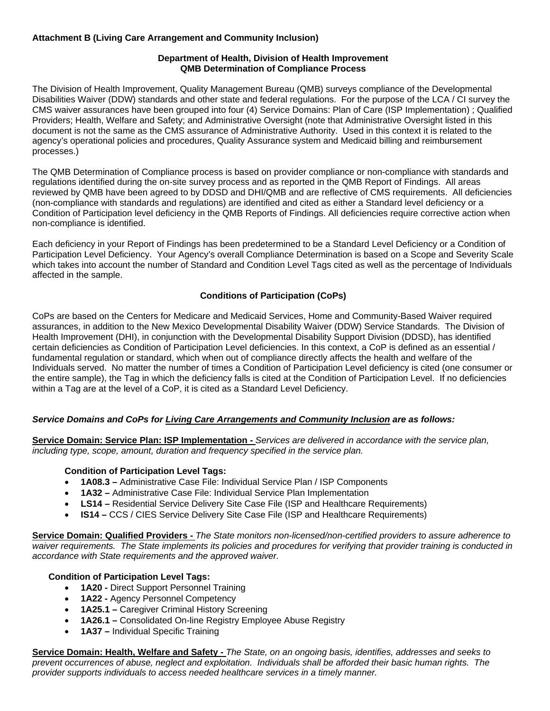## **Attachment B (Living Care Arrangement and Community Inclusion)**

## **Department of Health, Division of Health Improvement QMB Determination of Compliance Process**

The Division of Health Improvement, Quality Management Bureau (QMB) surveys compliance of the Developmental Disabilities Waiver (DDW) standards and other state and federal regulations. For the purpose of the LCA / CI survey the CMS waiver assurances have been grouped into four (4) Service Domains: Plan of Care (ISP Implementation) ; Qualified Providers; Health, Welfare and Safety; and Administrative Oversight (note that Administrative Oversight listed in this document is not the same as the CMS assurance of Administrative Authority. Used in this context it is related to the agency's operational policies and procedures, Quality Assurance system and Medicaid billing and reimbursement processes.)

The QMB Determination of Compliance process is based on provider compliance or non-compliance with standards and regulations identified during the on-site survey process and as reported in the QMB Report of Findings. All areas reviewed by QMB have been agreed to by DDSD and DHI/QMB and are reflective of CMS requirements. All deficiencies (non-compliance with standards and regulations) are identified and cited as either a Standard level deficiency or a Condition of Participation level deficiency in the QMB Reports of Findings. All deficiencies require corrective action when non-compliance is identified.

Each deficiency in your Report of Findings has been predetermined to be a Standard Level Deficiency or a Condition of Participation Level Deficiency. Your Agency's overall Compliance Determination is based on a Scope and Severity Scale which takes into account the number of Standard and Condition Level Tags cited as well as the percentage of Individuals affected in the sample.

# **Conditions of Participation (CoPs)**

CoPs are based on the Centers for Medicare and Medicaid Services, Home and Community-Based Waiver required assurances, in addition to the New Mexico Developmental Disability Waiver (DDW) Service Standards. The Division of Health Improvement (DHI), in conjunction with the Developmental Disability Support Division (DDSD), has identified certain deficiencies as Condition of Participation Level deficiencies. In this context, a CoP is defined as an essential / fundamental regulation or standard, which when out of compliance directly affects the health and welfare of the Individuals served. No matter the number of times a Condition of Participation Level deficiency is cited (one consumer or the entire sample), the Tag in which the deficiency falls is cited at the Condition of Participation Level. If no deficiencies within a Tag are at the level of a CoP, it is cited as a Standard Level Deficiency.

# *Service Domains and CoPs for Living Care Arrangements and Community Inclusion are as follows:*

**Service Domain: Service Plan: ISP Implementation -** *Services are delivered in accordance with the service plan, including type, scope, amount, duration and frequency specified in the service plan.*

## **Condition of Participation Level Tags:**

- **1A08.3** Administrative Case File: Individual Service Plan / ISP Components
- **1A32** Administrative Case File: Individual Service Plan Implementation
- **LS14** Residential Service Delivery Site Case File (ISP and Healthcare Requirements)
- **IS14** CCS / CIES Service Delivery Site Case File (ISP and Healthcare Requirements)

**Service Domain: Qualified Providers -** *The State monitors non-licensed/non-certified providers to assure adherence to waiver requirements. The State implements its policies and procedures for verifying that provider training is conducted in accordance with State requirements and the approved waiver.*

# **Condition of Participation Level Tags:**

- **1A20 -** Direct Support Personnel Training
- **1A22 -** Agency Personnel Competency
- **1A25.1 –** Caregiver Criminal History Screening
- **1A26.1 –** Consolidated On-line Registry Employee Abuse Registry
- **1A37 –** Individual Specific Training

**Service Domain: Health, Welfare and Safety -** *The State, on an ongoing basis, identifies, addresses and seeks to prevent occurrences of abuse, neglect and exploitation. Individuals shall be afforded their basic human rights. The provider supports individuals to access needed healthcare services in a timely manner.*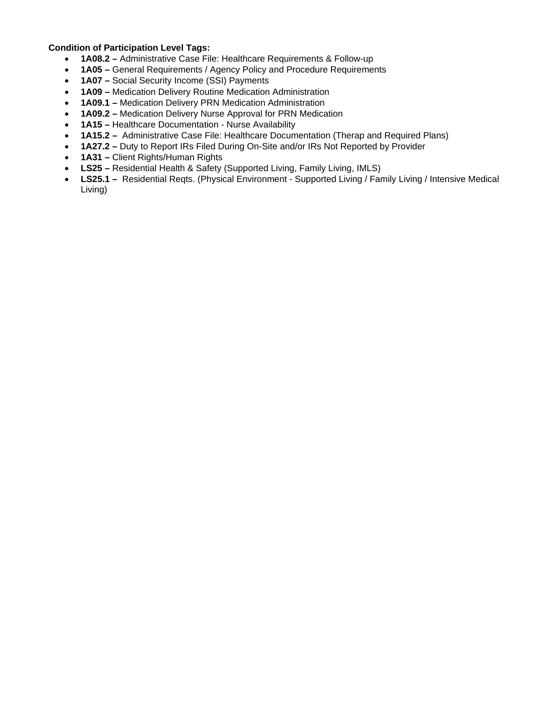#### **Condition of Participation Level Tags:**

- **1A08.2** Administrative Case File: Healthcare Requirements & Follow-up
- **1A05** General Requirements / Agency Policy and Procedure Requirements
- **1A07** Social Security Income (SSI) Payments
- **1A09** Medication Delivery Routine Medication Administration
- **1A09.1** Medication Delivery PRN Medication Administration
- **1A09.2** Medication Delivery Nurse Approval for PRN Medication
- **1A15** Healthcare Documentation Nurse Availability
- **1A15.2** Administrative Case File: Healthcare Documentation (Therap and Required Plans)
- **1A27.2** Duty to Report IRs Filed During On-Site and/or IRs Not Reported by Provider
- **1A31** Client Rights/Human Rights
- **LS25** Residential Health & Safety (Supported Living, Family Living, IMLS)
- **LS25.1** Residential Reqts. (Physical Environment Supported Living / Family Living / Intensive Medical Living)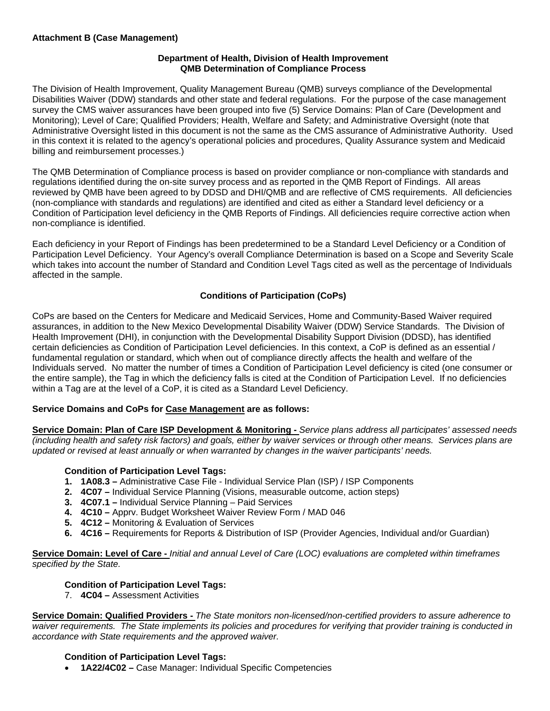### **Attachment B (Case Management)**

### **Department of Health, Division of Health Improvement QMB Determination of Compliance Process**

The Division of Health Improvement, Quality Management Bureau (QMB) surveys compliance of the Developmental Disabilities Waiver (DDW) standards and other state and federal regulations. For the purpose of the case management survey the CMS waiver assurances have been grouped into five (5) Service Domains: Plan of Care (Development and Monitoring); Level of Care; Qualified Providers; Health, Welfare and Safety; and Administrative Oversight (note that Administrative Oversight listed in this document is not the same as the CMS assurance of Administrative Authority. Used in this context it is related to the agency's operational policies and procedures, Quality Assurance system and Medicaid billing and reimbursement processes.)

The QMB Determination of Compliance process is based on provider compliance or non-compliance with standards and regulations identified during the on-site survey process and as reported in the QMB Report of Findings. All areas reviewed by QMB have been agreed to by DDSD and DHI/QMB and are reflective of CMS requirements. All deficiencies (non-compliance with standards and regulations) are identified and cited as either a Standard level deficiency or a Condition of Participation level deficiency in the QMB Reports of Findings. All deficiencies require corrective action when non-compliance is identified.

Each deficiency in your Report of Findings has been predetermined to be a Standard Level Deficiency or a Condition of Participation Level Deficiency. Your Agency's overall Compliance Determination is based on a Scope and Severity Scale which takes into account the number of Standard and Condition Level Tags cited as well as the percentage of Individuals affected in the sample.

## **Conditions of Participation (CoPs)**

CoPs are based on the Centers for Medicare and Medicaid Services, Home and Community-Based Waiver required assurances, in addition to the New Mexico Developmental Disability Waiver (DDW) Service Standards. The Division of Health Improvement (DHI), in conjunction with the Developmental Disability Support Division (DDSD), has identified certain deficiencies as Condition of Participation Level deficiencies. In this context, a CoP is defined as an essential / fundamental regulation or standard, which when out of compliance directly affects the health and welfare of the Individuals served. No matter the number of times a Condition of Participation Level deficiency is cited (one consumer or the entire sample), the Tag in which the deficiency falls is cited at the Condition of Participation Level. If no deficiencies within a Tag are at the level of a CoP, it is cited as a Standard Level Deficiency.

## **Service Domains and CoPs for Case Management are as follows:**

**Service Domain: Plan of Care ISP Development & Monitoring -** *Service plans address all participates' assessed needs (including health and safety risk factors) and goals, either by waiver services or through other means. Services plans are updated or revised at least annually or when warranted by changes in the waiver participants' needs.*

#### **Condition of Participation Level Tags:**

- **1. 1A08.3** Administrative Case File Individual Service Plan (ISP) / ISP Components
- **2. 4C07** Individual Service Planning (Visions, measurable outcome, action steps)
- **3. 4C07.1** Individual Service Planning Paid Services
- **4. 4C10** Apprv. Budget Worksheet Waiver Review Form / MAD 046
- **5. 4C12** Monitoring & Evaluation of Services
- **6. 4C16** Requirements for Reports & Distribution of ISP (Provider Agencies, Individual and/or Guardian)

**Service Domain: Level of Care -** *Initial and annual Level of Care (LOC) evaluations are completed within timeframes specified by the State.* 

## **Condition of Participation Level Tags:**

7. **4C04 –** Assessment Activities

**Service Domain: Qualified Providers -** *The State monitors non-licensed/non-certified providers to assure adherence to waiver requirements. The State implements its policies and procedures for verifying that provider training is conducted in accordance with State requirements and the approved waiver.* 

## **Condition of Participation Level Tags:**

**1A22/4C02 –** Case Manager: Individual Specific Competencies